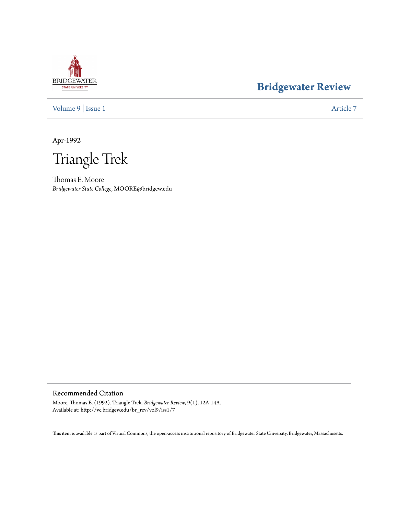# **BRIDGEWATER** STATE UNIVERSITY

# **[Bridgewater Review](http://vc.bridgew.edu/br_rev)**

[Volume 9](http://vc.bridgew.edu/br_rev/vol9) | [Issue 1](http://vc.bridgew.edu/br_rev/vol9/iss1) [Article 7](http://vc.bridgew.edu/br_rev/vol9/iss1/7)

Apr-1992

Triangle Trek

Thomas E. Moore *Bridgewater State College*, MOORE@bridgew.edu

## Recommended Citation

Moore, Thomas E. (1992). Triangle Trek. *Bridgewater Review*, 9(1), 12A-14A. Available at: http://vc.bridgew.edu/br\_rev/vol9/iss1/7

This item is available as part of Virtual Commons, the open-access institutional repository of Bridgewater State University, Bridgewater, Massachusetts.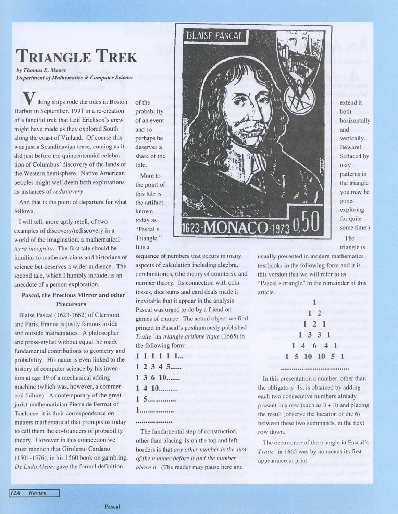# **TRIANGLE TREK**

by *Thomas* E. *Moore Department ofMathematics* & *Computer Science*

iking ships rode the tides in Boston Harbor in September, 1991 in a re-creation of a fanciful trek that Leif Erickson's crew might have made as they explored South along the coast of Vinland. Of course this was just a Scandinavian tease, coming as it did just before the quincentennial celebration of Columbus' discovery of the lands of the Western hemisphere. Native American peoples might well deem both explorations as instances of *rediscovery.*

And that is the point of departure for what follows.

I will tell, more aptly retell, of two examples of discovery/rediscovery in a world of the imagination, a mathematical *terra incognita.* The first tale should be familiar to mathematicians and historians of science but deserves a wider audience. The second tale, which I humbly include, is an anecdote of a person exploration.

### Pascal, the Precious Mirror and other Precursors

Blaise Pascal (1623-1662) of Clermont and Paris, France is justly famous inside and outside mathematics. A philosopher and prose-stylist without equal, he made fundamental contributions to geometry and probability. His name is even linked to the history of computer science by his invention at age 19 of a mechanical adding machine (which was, however, a commercial failure). A contemporary of the great jurist-mathematician Pierre de Fermat of Toulouse, it is their correspondence on matters mathematical that prompts us today to call them the co-founders of probability theory. However in this connection we must mention that Girolamo Cardano (1501-1576), in his 1560 book on gambling, *De Ludo Aleae,* gave the formal definition

of the probability of an event and so perhaps he deserves a share of the title.

More to the point of this tale is the artifact known today as "Pascal's Triangle." It is a

sequence of numbers that occurs in many aspects of calculation including algebra, combinatorics, (the theory of counters), and number theory. Its connection with coin tosses, dice sums and card deals made it inevitable that it appear in the analysis Pascal was urged to do by a friend on games of chance. The actual object we find printed in Pascal's posthumously published *Traite'du triangle arithme'tique* (1665) in the following form:

.1 1 1 1 1 1...  $1 2 3 4 5$ ......  $1, 3, 6, 10, \ldots$ 1 4 10.......... 1 5............... 1..................

#### ...................

The fundamental step of construction, other than placing 1s on the top and left borders is that *any other number is the sum ofthe number before it and the number above it.* (The reader may pause here and



extend it both horizontally and vertically. Beware! Seduced by may patterns in the triangle you may be goneexploring for quite some time.) The

triangle is

usually presented in modern mathematics textbooks in the following form and it is this version that we will refer to as "Pascal's triangle" in the remainder of this article.

|  |               | $\mathbf{1}$    |  |  |
|--|---------------|-----------------|--|--|
|  |               | $1\quad2$       |  |  |
|  |               | $1\quad2\quad1$ |  |  |
|  | 1 3 3 1       |                 |  |  |
|  | 14641         |                 |  |  |
|  | 1 5 10 10 5 1 |                 |  |  |
|  |               |                 |  |  |

In this presentation a number, other than the obligatory Is, is obtained by adding each two consecutive numbers already present in a row (such as  $3 + 3$ ) and placing the result (observe the location of the 6) between these two summands, in the next row down.

The occurrence of the triangle in Pascal's *Traite'in* 1665 was by no means its first appearance in print.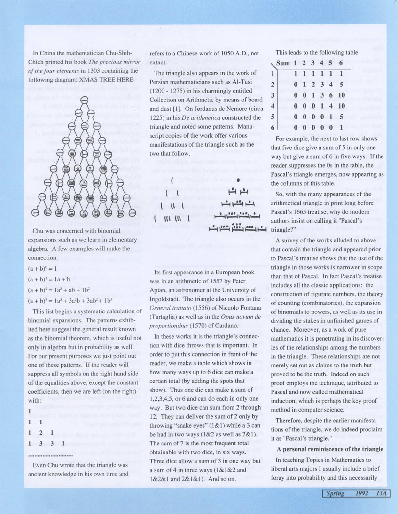In China the mathematician Chu-Shih-Chieh printed his book *The precious mirror ofthe four elements* in 1303 containing the following diagram: XMAS TREE HERE



Chu was concerned with binomial expansions such as we learn in elementary algebra. A few examples will make the connection.

 $(a + b)^0 = 1$ 

 $(a + b)^1 = 1a + b$ 

 $(a + b)^2 = 1a^2 + ab + 1b^2$ 

 $(a + b)<sup>3</sup> = 1a<sup>3</sup> + 3a<sup>2</sup>b + 3ab<sup>2</sup> + 1b<sup>3</sup>$ 

This list begins a systematic calculation of binomial expansions. The patterns exhibited here suggest the general result known as the binomial theorem, which is useful not only in algebra but in probability as well. For our present purposes we just point out one of these patterns. If the reader will suppress all symbols on the right hand side of the equalities above, except the constant coefficients, then we are left (on the right) with:

#### ..........................

Even Chu wrote that the triangle was ancient knowledge in his own time and refers to a Chinese work of 1050 A.D., not extant.

The triangle also appears in the work of Persian mathematicians such as AI-Tusi (1200 - 1275) in his charmingly entitled Collection on Arithmetic by means of board and dust [1]. On Jordanus de Nemore (circa 1225) in his *De arithmetica* constructed the triangle and noted some patterns. Manuscript copies of the work offer various manifestations of the triangle such as the two that follow.

> l **l l\ l**  $\mathbf{u}$   $\mathbf{u}$

Its first appearance in a European book was in an arithmetic of 1557 by Peter Apian, an astronomer at the University of Ingoldstadt. The triangle also occurs in the *General trattato* (1556) of Niccolo Fontana (Tartaglia) as well as in the *Opus novum de proportionibus* (1570) of Cardano.

In these works it is the triangle's connection with dice throws that is important. In order to put this connection in front of the reader, we make a table which shows in how many ways up to 6 dice can make a certain total (by adding the spots that show). Thus one die can make a sum of 1,2,3,4,5, or 6 and can do each in only one way. But two dice can sum from 2 through 12. They can deliver the sum of 2 only by throwing "snake eyes" (1&1) while a 3 can be had in two ways (1&2 as well as 2&1). The sum of 7 is the most frequent total obtainable with two dice, in six ways. Three dice allow a sum of 3 in one way but a sum of 4 in three ways (1&1&2 and 1&2&1 and 2&1&1). And so on.

This leads to the following table.

| Sum 1 2 3 4 5 6                            |  |  |               |                          |  |
|--------------------------------------------|--|--|---------------|--------------------------|--|
| 1                                          |  |  | 1 1 1 1 1 1   |                          |  |
| 2                                          |  |  | $0$ 1 2 3 4 5 |                          |  |
|                                            |  |  |               | $0 \t0 \t1 \t3 \t6 \t10$ |  |
|                                            |  |  |               | $0 \t0 \t0 \t1 \t4 \t10$ |  |
| $\begin{array}{c} 3 \\ 4 \\ 5 \end{array}$ |  |  |               | 0 0 0 0 1 5              |  |
| 6                                          |  |  | 0 0 0 0 0 1   |                          |  |

For example, the next to last row shows that five dice give a sum of 5 in only one way but give a sum of 6 in five ways. If the reader suppresses the Os in the table, the Pascal's triangle emerges, now appearing as the columns of this table.

So, with the many appearances of the arithmetical triangle in print long before Pascal's 1665 treatise, why do modern authors insist on calling it "Pascal's triangle?"

A survey of the works alluded to above that contain the triangle and appeared prior to Pascal's treatise shows that the use of the triangle in those works is narrower in scope than that of Pascal. In fact Pascal's treatise includes all the classic applications: the construction of figurate numbers, the theory of counting (combinatorics), the expansion of binomials to powers, as well as its use in dividing the stakes in unfinished games of chance. Moreover, as a work of pure mathematics it is penetrating in its discoveries of the relationships among the numbers in the triangle. These relationships are not merely set out as claims to the truth but proved to be the truth. Indeed on such proof employs the technique, attributed to Pascal and now called mathematical induction, which is perhaps the key proof method in computer science.

Therefore, despite the earlier manifestations of the triangle, we do indeed proclaim it as "Pascal's triangle."

A personal reminiscence of the triangle

In teaching Topics in Mathematics to liberal arts majors I usually include a brief foray into probability and this necessarily